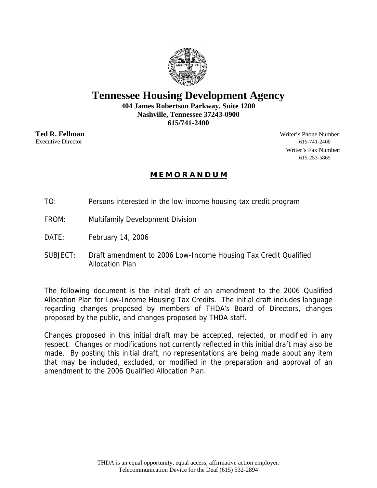

# **Tennessee Housing Development Agency**

**404 James Robertson Parkway, Suite 1200 Nashville, Tennessee 37243-0900 615/741-2400** 

**Ted R. Fellman** Writer's Phone Number: Executive Director 615-741-2400 Writer's Fax Number: 615-253-5865

# **M E M O R A N D U M**

- TO: Persons interested in the low-income housing tax credit program
- FROM: Multifamily Development Division
- DATE: February 14, 2006
- SUBJECT: Draft amendment to 2006 Low-Income Housing Tax Credit Qualified Allocation Plan

The following document is the initial draft of an amendment to the 2006 Qualified Allocation Plan for Low-Income Housing Tax Credits. The initial draft includes language regarding changes proposed by members of THDA's Board of Directors, changes proposed by the public, and changes proposed by THDA staff.

Changes proposed in this initial draft may be accepted, rejected, or modified in any respect. Changes or modifications not currently reflected in this initial draft may also be made. By posting this initial draft, no representations are being made about any item that may be included, excluded, or modified in the preparation and approval of an amendment to the 2006 Qualified Allocation Plan.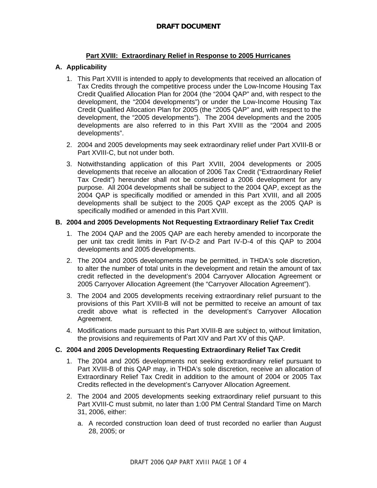## **Part XVIII: Extraordinary Relief in Response to 2005 Hurricanes**

### **A. Applicability**

- 1. This Part XVIII is intended to apply to developments that received an allocation of Tax Credits through the competitive process under the Low-Income Housing Tax Credit Qualified Allocation Plan for 2004 (the "2004 QAP" and, with respect to the development, the "2004 developments") or under the Low-Income Housing Tax Credit Qualified Allocation Plan for 2005 (the "2005 QAP" and, with respect to the development, the "2005 developments"). The 2004 developments and the 2005 developments are also referred to in this Part XVIII as the "2004 and 2005 developments".
- 2. 2004 and 2005 developments may seek extraordinary relief under Part XVIII-B or Part XVIII-C, but not under both.
- 3. Notwithstanding application of this Part XVIII, 2004 developments or 2005 developments that receive an allocation of 2006 Tax Credit ("Extraordinary Relief Tax Credit") hereunder shall not be considered a 2006 development for any purpose. All 2004 developments shall be subject to the 2004 QAP, except as the 2004 QAP is specifically modified or amended in this Part XVIII, and all 2005 developments shall be subject to the 2005 QAP except as the 2005 QAP is specifically modified or amended in this Part XVIII.

#### **B. 2004 and 2005 Developments Not Requesting Extraordinary Relief Tax Credit**

- 1. The 2004 QAP and the 2005 QAP are each hereby amended to incorporate the per unit tax credit limits in Part IV-D-2 and Part IV-D-4 of this QAP to 2004 developments and 2005 developments.
- 2. The 2004 and 2005 developments may be permitted, in THDA's sole discretion, to alter the number of total units in the development and retain the amount of tax credit reflected in the development's 2004 Carryover Allocation Agreement or 2005 Carryover Allocation Agreement (the "Carryover Allocation Agreement").
- 3. The 2004 and 2005 developments receiving extraordinary relief pursuant to the provisions of this Part XVIII-B will not be permitted to receive an amount of tax credit above what is reflected in the development's Carryover Allocation Agreement.
- 4. Modifications made pursuant to this Part XVIII-B are subject to, without limitation, the provisions and requirements of Part XIV and Part XV of this QAP.

#### **C. 2004 and 2005 Developments Requesting Extraordinary Relief Tax Credit**

- 1. The 2004 and 2005 developments not seeking extraordinary relief pursuant to Part XVIII-B of this QAP may, in THDA's sole discretion, receive an allocation of Extraordinary Relief Tax Credit in addition to the amount of 2004 or 2005 Tax Credits reflected in the development's Carryover Allocation Agreement.
- 2. The 2004 and 2005 developments seeking extraordinary relief pursuant to this Part XVIII-C must submit, no later than 1:00 PM Central Standard Time on March 31, 2006, either:
	- a. A recorded construction loan deed of trust recorded no earlier than August 28, 2005; or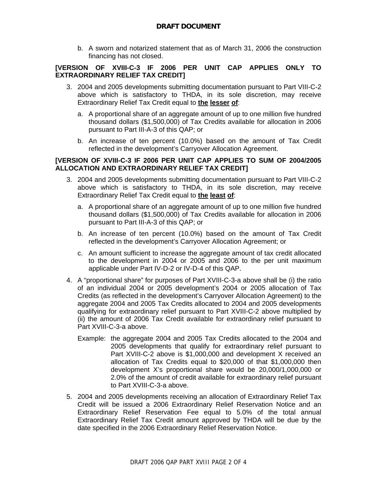#### **DRAFT DOCUMENT**

b. A sworn and notarized statement that as of March 31, 2006 the construction financing has not closed.

#### **[VERSION OF XVIII-C-3 IF 2006 PER UNIT CAP APPLIES ONLY TO EXTRAORDINARY RELIEF TAX CREDIT]**

- 3. 2004 and 2005 developments submitting documentation pursuant to Part VIII-C-2 above which is satisfactory to THDA, in its sole discretion, may receive Extraordinary Relief Tax Credit equal to **the lesser of**:
	- a. A proportional share of an aggregate amount of up to one million five hundred thousand dollars (\$1,500,000) of Tax Credits available for allocation in 2006 pursuant to Part III-A-3 of this QAP; or
	- b. An increase of ten percent (10.0%) based on the amount of Tax Credit reflected in the development's Carryover Allocation Agreement.

#### **[VERSION OF XVIII-C-3 IF 2006 PER UNIT CAP APPLIES TO SUM OF 2004/2005 ALLOCATION AND EXTRAORDINARY RELIEF TAX CREDIT]**

- 3. 2004 and 2005 developments submitting documentation pursuant to Part VIII-C-2 above which is satisfactory to THDA, in its sole discretion, may receive Extraordinary Relief Tax Credit equal to **the least of**:
	- a. A proportional share of an aggregate amount of up to one million five hundred thousand dollars (\$1,500,000) of Tax Credits available for allocation in 2006 pursuant to Part III-A-3 of this QAP; or
	- b. An increase of ten percent (10.0%) based on the amount of Tax Credit reflected in the development's Carryover Allocation Agreement; or
	- c. An amount sufficient to increase the aggregate amount of tax credit allocated to the development in 2004 or 2005 and 2006 to the per unit maximum applicable under Part IV-D-2 or IV-D-4 of this QAP.
- 4. A "proportional share" for purposes of Part XVIII-C-3-a above shall be (i) the ratio of an individual 2004 or 2005 development's 2004 or 2005 allocation of Tax Credits (as reflected in the development's Carryover Allocation Agreement) to the aggregate 2004 and 2005 Tax Credits allocated to 2004 and 2005 developments qualifying for extraordinary relief pursuant to Part XVIII-C-2 above multiplied by (ii) the amount of 2006 Tax Credit available for extraordinary relief pursuant to Part XVIII-C-3-a above.
	- Example: the aggregate 2004 and 2005 Tax Credits allocated to the 2004 and 2005 developments that qualify for extraordinary relief pursuant to Part XVIII-C-2 above is \$1,000,000 and development X received an allocation of Tax Credits equal to \$20,000 of that \$1,000,000 then development X's proportional share would be 20,000/1,000,000 or 2.0% of the amount of credit available for extraordinary relief pursuant to Part XVIII-C-3-a above.
- 5. 2004 and 2005 developments receiving an allocation of Extraordinary Relief Tax Credit will be issued a 2006 Extraordinary Relief Reservation Notice and an Extraordinary Relief Reservation Fee equal to 5.0% of the total annual Extraordinary Relief Tax Credit amount approved by THDA will be due by the date specified in the 2006 Extraordinary Relief Reservation Notice.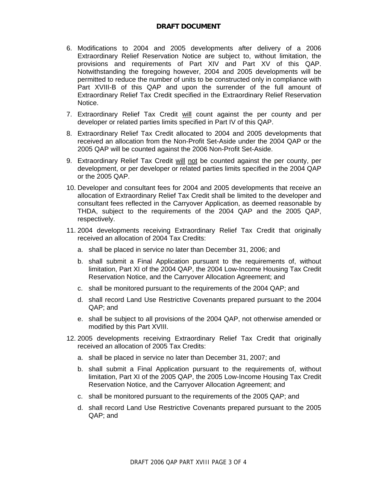- 6. Modifications to 2004 and 2005 developments after delivery of a 2006 Extraordinary Relief Reservation Notice are subject to, without limitation, the provisions and requirements of Part XIV and Part XV of this QAP. Notwithstanding the foregoing however, 2004 and 2005 developments will be permitted to reduce the number of units to be constructed only in compliance with Part XVIII-B of this QAP and upon the surrender of the full amount of Extraordinary Relief Tax Credit specified in the Extraordinary Relief Reservation Notice.
- 7. Extraordinary Relief Tax Credit will count against the per county and per developer or related parties limits specified in Part IV of this QAP.
- 8. Extraordinary Relief Tax Credit allocated to 2004 and 2005 developments that received an allocation from the Non-Profit Set-Aside under the 2004 QAP or the 2005 QAP will be counted against the 2006 Non-Profit Set-Aside.
- 9. Extraordinary Relief Tax Credit will not be counted against the per county, per development, or per developer or related parties limits specified in the 2004 QAP or the 2005 QAP.
- 10. Developer and consultant fees for 2004 and 2005 developments that receive an allocation of Extraordinary Relief Tax Credit shall be limited to the developer and consultant fees reflected in the Carryover Application, as deemed reasonable by THDA, subject to the requirements of the 2004 QAP and the 2005 QAP, respectively.
- 11. 2004 developments receiving Extraordinary Relief Tax Credit that originally received an allocation of 2004 Tax Credits:
	- a. shall be placed in service no later than December 31, 2006; and
	- b. shall submit a Final Application pursuant to the requirements of, without limitation, Part XI of the 2004 QAP, the 2004 Low-Income Housing Tax Credit Reservation Notice, and the Carryover Allocation Agreement; and
	- c. shall be monitored pursuant to the requirements of the 2004 QAP; and
	- d. shall record Land Use Restrictive Covenants prepared pursuant to the 2004 QAP; and
	- e. shall be subject to all provisions of the 2004 QAP, not otherwise amended or modified by this Part XVIII.
- 12. 2005 developments receiving Extraordinary Relief Tax Credit that originally received an allocation of 2005 Tax Credits:
	- a. shall be placed in service no later than December 31, 2007; and
	- b. shall submit a Final Application pursuant to the requirements of, without limitation, Part XI of the 2005 QAP, the 2005 Low-Income Housing Tax Credit Reservation Notice, and the Carryover Allocation Agreement; and
	- c. shall be monitored pursuant to the requirements of the 2005 QAP; and
	- d. shall record Land Use Restrictive Covenants prepared pursuant to the 2005 QAP; and